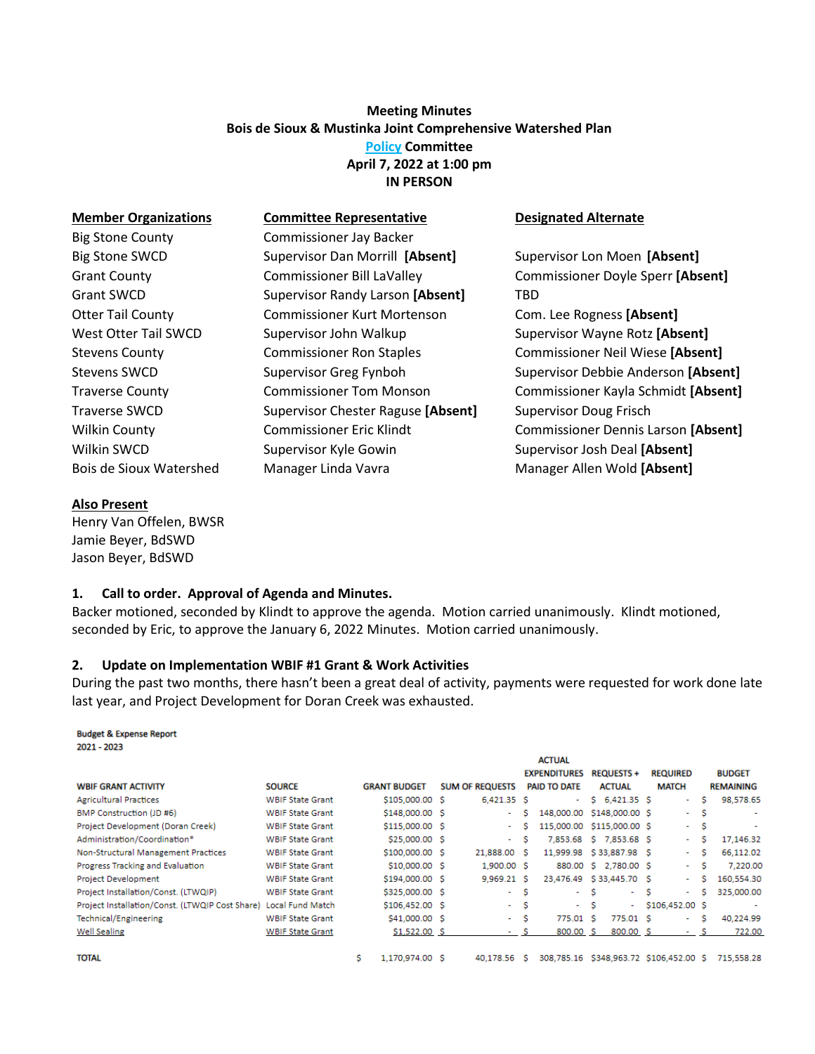# **Meeting Minutes Bois de Sioux & Mustinka Joint Comprehensive Watershed Plan Policy Committee April 7, 2022 at 1:00 pm IN PERSON**

| <b>Member Organizations</b> | <b>Committee Representative</b>    | <b>Designated Alternate</b>             |  |  |  |  |  |
|-----------------------------|------------------------------------|-----------------------------------------|--|--|--|--|--|
| <b>Big Stone County</b>     | <b>Commissioner Jay Backer</b>     |                                         |  |  |  |  |  |
| <b>Big Stone SWCD</b>       | Supervisor Dan Morrill [Absent]    | Supervisor Lon Moen [Absent]            |  |  |  |  |  |
| <b>Grant County</b>         | <b>Commissioner Bill LaValley</b>  | Commissioner Doyle Sperr [Absent]       |  |  |  |  |  |
| <b>Grant SWCD</b>           | Supervisor Randy Larson [Absent]   | TBD                                     |  |  |  |  |  |
| <b>Otter Tail County</b>    | <b>Commissioner Kurt Mortenson</b> | Com. Lee Rogness [Absent]               |  |  |  |  |  |
| West Otter Tail SWCD        | Supervisor John Walkup             | Supervisor Wayne Rotz [Absent]          |  |  |  |  |  |
| <b>Stevens County</b>       | <b>Commissioner Ron Staples</b>    | <b>Commissioner Neil Wiese [Absent]</b> |  |  |  |  |  |
| Stevens SWCD                | Supervisor Greg Fynboh             | Supervisor Debbie Anderson [Absent]     |  |  |  |  |  |
| <b>Traverse County</b>      | <b>Commissioner Tom Monson</b>     | Commissioner Kayla Schmidt [Absent]     |  |  |  |  |  |
| <b>Traverse SWCD</b>        | Supervisor Chester Raguse [Absent] | <b>Supervisor Doug Frisch</b>           |  |  |  |  |  |
| <b>Wilkin County</b>        | <b>Commissioner Eric Klindt</b>    | Commissioner Dennis Larson [Absent]     |  |  |  |  |  |
| Wilkin SWCD                 | Supervisor Kyle Gowin              | Supervisor Josh Deal [Absent]           |  |  |  |  |  |
| Bois de Sioux Watershed     | Manager Linda Vavra                | Manager Allen Wold [Absent]             |  |  |  |  |  |

### **Also Present**

Henry Van Offelen, BWSR Jamie Beyer, BdSWD Jason Beyer, BdSWD

### **1. Call to order. Approval of Agenda and Minutes.**

Backer motioned, seconded by Klindt to approve the agenda. Motion carried unanimously. Klindt motioned, seconded by Eric, to approve the January 6, 2022 Minutes. Motion carried unanimously.

### **2. Update on Implementation WBIF #1 Grant & Work Activities**

During the past two months, there hasn't been a great deal of activity, payments were requested for work done late last year, and Project Development for Doran Creek was exhausted.

#### **Budget & Expense Report** 2021 - 2023

| <b>WBIF GRANT ACTIVITY</b>                      | <b>SOURCE</b>           |   | <b>GRANT BUDGET</b> | <b>SUM OF REQUESTS</b> |   | <b>ACTUAL</b><br><b>EXPENDITURES</b><br><b>PAID TO DATE</b> |   | <b>REQUESTS +</b><br><b>ACTUAL</b> |   | <b>REQUIRED</b><br><b>MATCH</b> |     | <b>BUDGET</b><br><b>REMAINING</b> |
|-------------------------------------------------|-------------------------|---|---------------------|------------------------|---|-------------------------------------------------------------|---|------------------------------------|---|---------------------------------|-----|-----------------------------------|
| <b>Agricultural Practices</b>                   | <b>WBIF State Grant</b> |   | \$105,000.00 \$     | $6,421.35$ \$          |   | $\sim$                                                      |   | $$6,421.35$ S                      |   | ٠                               | s   | 98,578.65                         |
| BMP Construction (JD #6)                        | <b>WBIF State Grant</b> |   | \$148,000.00 \$     | ٠                      | s | 148,000.00                                                  |   | \$148,000.00 \$                    |   | $\sim$                          | s   | $\blacksquare$                    |
| Project Development (Doran Creek)               | <b>WBIF State Grant</b> |   | \$115,000.00 \$     | ٠                      | s | 115,000.00                                                  |   | \$115,000.00 \$                    |   | $\sim$                          | s   | $\overline{a}$                    |
| Administration/Coordination*                    | <b>WBIF State Grant</b> |   | \$25,000.00 \$      | ×.                     | s |                                                             |   | 7,853.68 S 7,853.68 S              |   |                                 | s   | 17,146.32                         |
| Non-Structural Management Practices             | <b>WBIF State Grant</b> |   | \$100,000.00 \$     | 21,888.00 S            |   | 11,999.98 \$33,887.98 \$                                    |   |                                    |   | $\sim$                          | s   | 66.112.02                         |
| Progress Tracking and Evaluation                | <b>WBIF State Grant</b> |   | \$10,000.00 \$      | 1,900.00 \$            |   |                                                             |   | 880.00 \$ 2,780.00 \$              |   |                                 | s   | 7,220.00                          |
| <b>Project Development</b>                      | <b>WBIF State Grant</b> |   | \$194,000.00 \$     | 9.969.21 S             |   | 23,476.49 \$33,445.70 \$                                    |   |                                    |   | $\sim$                          | s   | 160,554.30                        |
| Project Installation/Const. (LTWQIP)            | <b>WBIF State Grant</b> |   | \$325,000.00 \$     | ۰.                     | s | $\sim 100$                                                  | s | <b>Service</b>                     | s | $\sim$                          | s   | 325,000.00                        |
| Project Installation/Const. (LTWQIP Cost Share) | <b>Local Fund Match</b> |   | \$106,452.00 \$     | ۰.                     | s | $\sim$                                                      | s | $\sim$                             |   | \$106,452.00 \$                 |     | $\overline{\phantom{a}}$          |
| Technical/Engineering                           | <b>WBIF State Grant</b> |   | \$41,000.00 \$      | $\sim$                 | s | 775.01 S                                                    |   | 775.01 S                           |   | $\sim$                          | s   | 40.224.99                         |
| Well Sealing                                    | <b>WBIF State Grant</b> |   | \$1,522.00 \$       | $-$ S                  |   | 800.00 \$                                                   |   | 800.00 S                           |   | $\sim$                          | s   | 722.00                            |
| <b>TOTAL</b>                                    |                         | s | 1.170.974.00 S      | 40.178.56              | s | 308.785.16                                                  |   |                                    |   | \$348.963.72 \$106.452.00       | -S. | 715.558.28                        |

 $$1,170,974.00$$   $$40,178.56$$   $$308,785.16$$   $$348,963.72$$   $$106,452.00$$   $$715,558.28$